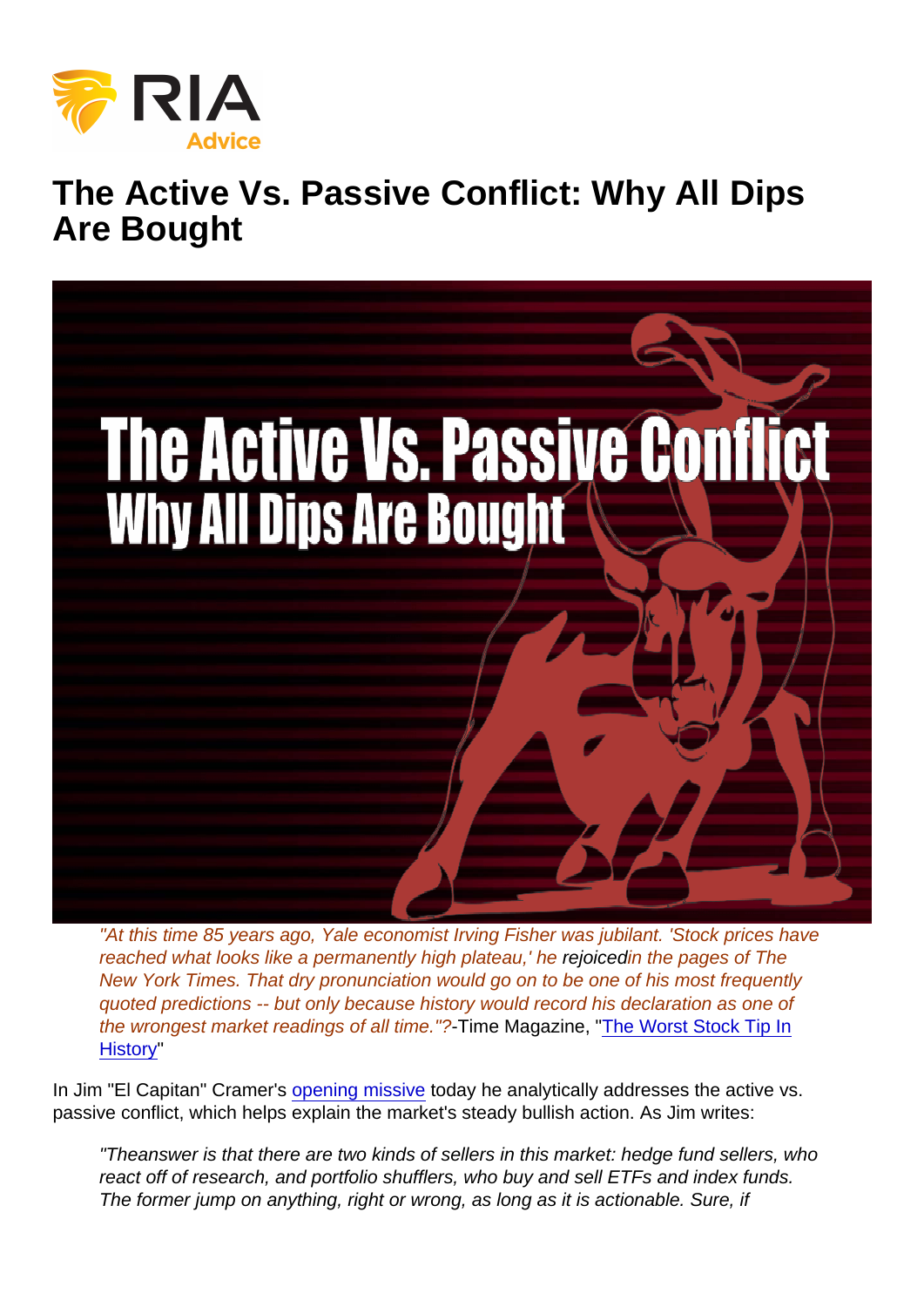## The Active Vs. Passive Conflict: Why All Dips Are Bought

"At this time 85 years ago, Yale economist Irving Fisher was jubilant. 'Stock prices have reached what looks like a permanently high plateau,' he rejoicedin the pages of The New York Times. That dry pronunciation would go on to be one of his most frequently quoted predictions -- but only because history would record his declaration as one of the wrongest market readings of all time."?-Time Magazine, "[The Worst Stock Tip In](http://time.com/3207128/stock-market-high-1929/) [History](http://time.com/3207128/stock-market-high-1929/)"

In Jim "El Capitan" Cramer's [opening missive](http://realmoneypro.thestreet.com/articles/10/04/2017/cramer-sellers-may-be-ready-give-you-some-bargains) today he analytically addresses the active vs. passive conflict, which helps explain the market's steady bullish action. As Jim writes:

"Theanswer is that there are two kinds of sellers in this market: hedge fund sellers, who react off of research, and portfolio shufflers, who buy and sell ETFs and index funds. The former jump on anything, right or wrong, as long as it is actionable. Sure, if